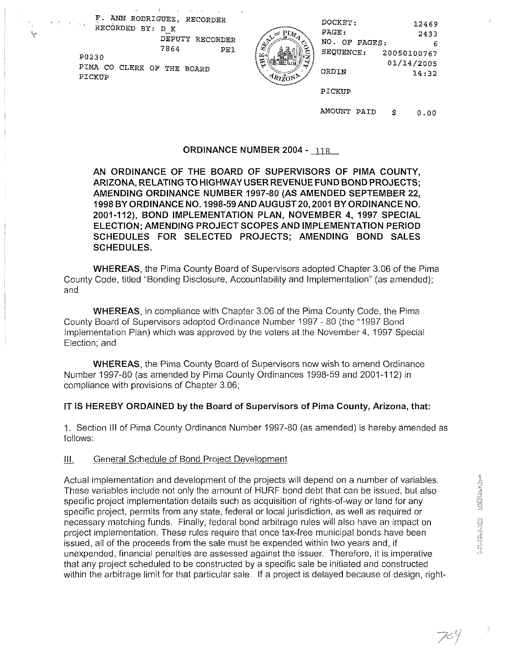F. ANN RODRIGUEZ, RECORDER DO DOCKET: 12469<br>RECORDED BY: D\_K PAGE: 2433<br>DEPUTY RECORDER NO. OF PAGES: 2433 PO230 PIMA CO CLERK OF THE BOARD  $\frac{14}{3}$ PICKUP

~ ~



| UEZ, RECORDER   |    | DOCKET:          | 12469       |
|-----------------|----|------------------|-------------|
| DК              |    | PAGE:            | 2433        |
| DEPUTY RECORDER | Æ. | NO.<br>OF PAGES: | 6           |
| 7864<br>PE1     |    | SEQUENCE:        | 20050100767 |
|                 |    |                  | 01/14/2005  |
| THE BOARD       |    | ORDIN            | 14.32       |
|                 |    |                  |             |

PICKUP

AMOUNT PAID \$ 0.00

### **ORDINANCE NUMBER 2004 - 118**

**AN ORDINANCE OF THE BOARD OF SUPERVISORS OF PlMA COUNTY, ARIZONA, RELATINGTO HIGHWAY USER REVENUE FUND BOND PROJECTS; AMENDING ORDINANCE NUMBER 1997-80 (AS AMENDED SEPTEMBER 22, 1998 BY ORDINANCE NO. 1998-59ANDAUGUST20,2001 BY ORDINANCE NO. 2001-112), BOND IMPLEMENTATION PLAN, NOVEMBER 4, 1997 SPECIAL ELECTION; AMENDING PROJECT SCOPES AND IMPLEMENTATION PERIOD SCHEDULES FOR SELECTED PROJECTS; AMENDING BOND SALES SCHEDULES.** 

**WHEREAS,** the Pima County Board of Supervisors adopted Chapter 3.06 of the Pima County Code, titled "Bonding Disclosure, Accountability and lmplementation" (as amended); and

**WHEREAS,** in compliance with Chapter 3.06 of the Pima County Code, the Pima County Board of Supervisors adopted Ordinance Number 1997 - 80 (the "1997 Bond Implementation Plan) which was approved by the voters at the November 4, 1997 Special Election; and

**WHEREAS,** the Pima County Board of Supervisors now wish to amend Ordinance Number 1997-80 (as amended by Pima County Ordinances 1998-59 and 2001-1 12) in compliance with provisions of Chapter 3.06;

#### **IT iS HEREBY ORDAINED by the Board of Supervisors of Pima County, Arizona, that:**

I. Section Ill of Pima County Ordinance Number 1997-80 (as amended) is hereby amended as follows:

#### III. General Schedule of Bond Project Development

Actual implementation and development of the projects will depend on a number of variables. These variables include not only the amount of HURF bond debt that can be issued, but also specific project implementation details such as acquisition of rights-of-way or land for any specific project, permits from any state, federal or local jurisdiction, as well as required or necessary matching funds. Finally, federal bond arbitrage rules will also have an impact on project implementation. These rules require that once tax-free municipal bonds have been issued, all of the proceeds from the sale must be expended within two years and, if unexpended, financial penalties are assessed against the issuer. Therefore, it is imperative that any project scheduled to be constructed by a specific sale be initiated and constructed within the arbitrage limit for that particular sale. If a project is delayed because of design, right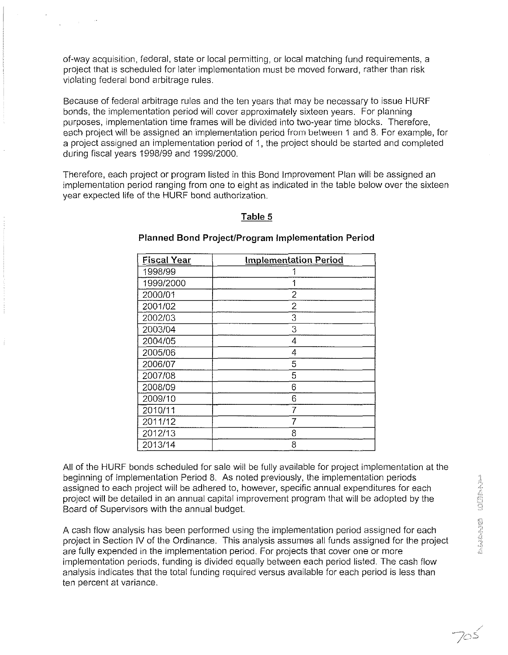of-way acquisition, federal, state or local permitting, or local matching fund requirements, a project that is scheduled for later implementation must be moved forward, rather than risk violating federal bond arbitrage rules.

Because of federal arbitrage rules and the ten years that may be necessary to issue HURF bonds, the implementation period will cover approximately sixteen years. For planning purposes, implementation time frames will be divided into two-year time blocks. Therefore, each project will be assigned an implementation period from between 1 and 8. For example, for a project assigned an implementation period of 1, the project should be started and completed during fiscal years 1998199 and 199912000.

Therefore, each project or program listed in this Bond Improvement Plan will be assigned an implementation period ranging from one to eight as indicated in the table below over the sixteen year expected life of the HURF bond authorization.

### **Table 5**

| <b>Fiscal Year</b> | <b>Implementation Period</b> |
|--------------------|------------------------------|
| 1998/99            |                              |
| 1999/2000          | 1                            |
| 2000/01            | 2                            |
| 2001/02            | 2                            |
| 2002/03            | 3                            |
| 2003/04            | 3                            |
| 2004/05            | 4                            |
| 2005/06            | 4                            |
| 2006/07            | 5                            |
| 2007/08            | 5                            |
| 2008/09            | 6                            |
| 2009/10            | 6                            |
| 2010/11            |                              |
| 2011/12            |                              |
| 2012/13            | 8                            |
| 2013/14            | 8                            |

### **Planned Bond Project/Program Implementation Period**

All of the HURF bonds scheduled for sale will be fully available for project implementation at the beginning of Implementation Period 8. As noted previously, the implementation periods assigned to each project will be adhered to, however, specific annual expenditures for each project will be detailed in an annual capital improvement program that will be adopted by the Board of Supervisors with the annual budget.

A cash flow analysis has been performed using the implementation period assigned for each project in Section IV of the Ordinance. This analysis assumes all funds assigned for the project are fully expended in the implementation period. For projects that cover one or more implementation periods, funding is divided equally between each period listed. The cash flow analysis indicates that the total funding required versus available for each period is less than ten percent at variance.

 $705$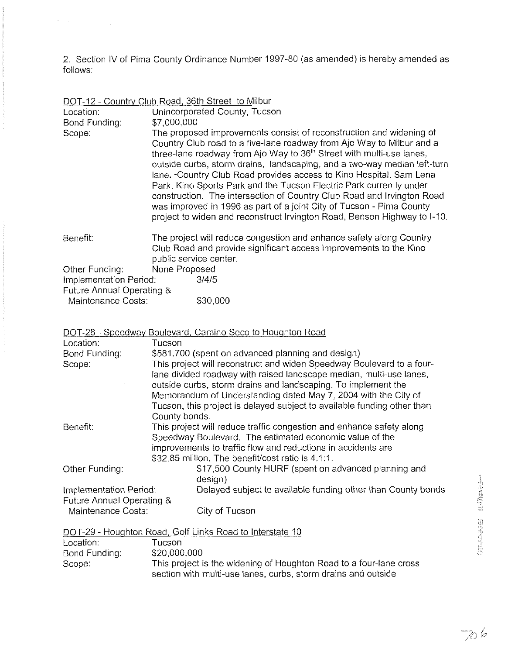2. Section IV of Pima County Ordinance Number 1997-80 (as amended) is hereby amended as follows:

| DOT-12 - Country Club Road, 36th Street to Milbur |  |  |
|---------------------------------------------------|--|--|
|                                                   |  |  |

 $\label{eq:2.1} \frac{d^2\mathbf{p}}{d\mathbf{p}} = \frac{1}{2}\left( \frac{\mathbf{p}}{d\mathbf{p}} + \frac{\mathbf{p}}{d\mathbf{p}} \right) + \frac{1}{2}\left( \frac{\mathbf{p}}{d\mathbf{p}} + \frac{\mathbf{p}}{d\mathbf{p}} \right)$ 

| Location:<br>Bond Funding:                          | Unincorporated County, Tucson<br>\$7,000,000                                                                                                                                                                                                                                                                                                                                                                                                                                                                                                                                                                                                                                              |
|-----------------------------------------------------|-------------------------------------------------------------------------------------------------------------------------------------------------------------------------------------------------------------------------------------------------------------------------------------------------------------------------------------------------------------------------------------------------------------------------------------------------------------------------------------------------------------------------------------------------------------------------------------------------------------------------------------------------------------------------------------------|
| Scope:                                              | The proposed improvements consist of reconstruction and widening of<br>Country Club road to a five-lane roadway from Ajo Way to Milbur and a<br>three-lane roadway from Ajo Way to 36 <sup>th</sup> Street with multi-use lanes,<br>outside curbs, storm drains, landscaping, and a two-way median left-turn<br>lane. - Country Club Road provides access to Kino Hospital, Sam Lena<br>Park, Kino Sports Park and the Tucson Electric Park currently under<br>construction. The intersection of Country Club Road and Irvington Road<br>was improved in 1996 as part of a joint City of Tucson - Pima County<br>project to widen and reconstruct Irvington Road, Benson Highway to I-10. |
| Benefit:                                            | The project will reduce congestion and enhance safety along Country<br>Club Road and provide significant access improvements to the Kino<br>public service center.                                                                                                                                                                                                                                                                                                                                                                                                                                                                                                                        |
| Other Funding:                                      | None Proposed                                                                                                                                                                                                                                                                                                                                                                                                                                                                                                                                                                                                                                                                             |
| Implementation Period:<br>Future Annual Operating & | 3/4/5                                                                                                                                                                                                                                                                                                                                                                                                                                                                                                                                                                                                                                                                                     |
| Maintenance Costs:                                  | \$30,000                                                                                                                                                                                                                                                                                                                                                                                                                                                                                                                                                                                                                                                                                  |

|                                                          | DOT-28 - Speedway Boulevard, Camino Seco to Houghton Road                                                                                                                                                                                                                                                                                                                   |                   |
|----------------------------------------------------------|-----------------------------------------------------------------------------------------------------------------------------------------------------------------------------------------------------------------------------------------------------------------------------------------------------------------------------------------------------------------------------|-------------------|
| Location:                                                | Tucson                                                                                                                                                                                                                                                                                                                                                                      |                   |
| Bond Funding:                                            | \$581,700 (spent on advanced planning and design)                                                                                                                                                                                                                                                                                                                           |                   |
| Scope:                                                   | This project will reconstruct and widen Speedway Boulevard to a four-<br>lane divided roadway with raised landscape median, multi-use lanes,<br>outside curbs, storm drains and landscaping. To implement the<br>Memorandum of Understanding dated May 7, 2004 with the City of<br>Tucson, this project is delayed subject to available funding other than<br>County bonds. |                   |
| Benefit:                                                 | This project will reduce traffic congestion and enhance safety along<br>Speedway Boulevard. The estimated economic value of the<br>improvements to traffic flow and reductions in accidents are                                                                                                                                                                             |                   |
|                                                          | \$32.85 million. The benefit/cost ratio is 4.1:1.                                                                                                                                                                                                                                                                                                                           |                   |
| Other Funding:                                           | \$17,500 County HURF (spent on advanced planning and<br>design)                                                                                                                                                                                                                                                                                                             |                   |
| Implementation Period:                                   | Delayed subject to available funding other than County bonds                                                                                                                                                                                                                                                                                                                |                   |
| Future Annual Operating &                                |                                                                                                                                                                                                                                                                                                                                                                             |                   |
| Maintenance Costs:                                       | City of Tucson                                                                                                                                                                                                                                                                                                                                                              |                   |
| DOT-29 - Houghton Road, Golf Links Road to Interstate 10 |                                                                                                                                                                                                                                                                                                                                                                             | <b>CONTRACTOR</b> |
| Location:                                                | Tucson                                                                                                                                                                                                                                                                                                                                                                      |                   |
| Bond Funding:                                            | \$20,000,000                                                                                                                                                                                                                                                                                                                                                                |                   |
| Scope:                                                   | This project is the widening of Houghton Road to a four-lane cross                                                                                                                                                                                                                                                                                                          |                   |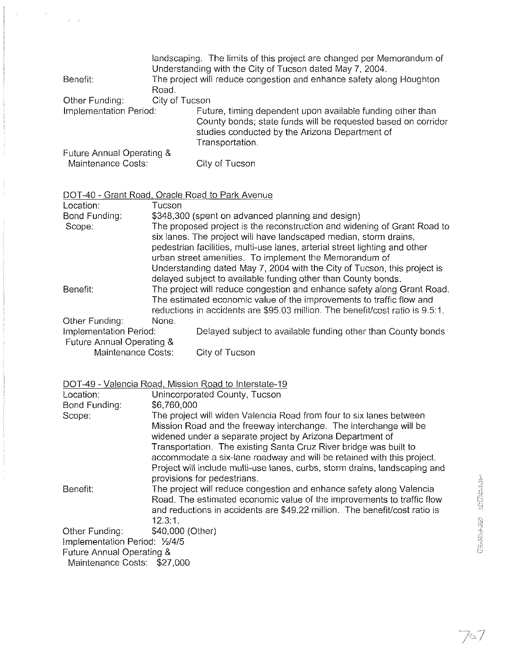|                           |       | landscaping. The limits of this project are changed per Memorandum of<br>Understanding with the City of Tucson dated May 7, 2004.                                                                |  |
|---------------------------|-------|--------------------------------------------------------------------------------------------------------------------------------------------------------------------------------------------------|--|
| Benefit:                  |       | The project will reduce congestion and enhance safety along Houghton                                                                                                                             |  |
|                           | Road. |                                                                                                                                                                                                  |  |
| Other Funding:            |       | City of Tucson                                                                                                                                                                                   |  |
| Implementation Period:    |       | Future, timing dependent upon available funding other than<br>County bonds; state funds will be requested based on corridor<br>studies conducted by the Arizona Department of<br>Transportation. |  |
| Future Annual Operating & |       |                                                                                                                                                                                                  |  |
| Maintenance Costs:        |       | City of Tucson                                                                                                                                                                                   |  |

# DOT-40 - Grant Road, Oracle Road to Park Avenue

 $\label{eq:2.1} \frac{1}{\sqrt{2\pi}}\int_{0}^{\pi} \frac{1}{\sqrt{2\pi}}\int_{0}^{\pi} \frac{1}{\sqrt{2\pi}}\int_{0}^{\pi} \frac{1}{\sqrt{2\pi}}\int_{0}^{\pi} \frac{1}{\sqrt{2\pi}}\int_{0}^{\pi} \frac{1}{\sqrt{2\pi}}\int_{0}^{\pi} \frac{1}{\sqrt{2\pi}}\int_{0}^{\pi} \frac{1}{\sqrt{2\pi}}\int_{0}^{\pi} \frac{1}{\sqrt{2\pi}}\int_{0}^{\pi} \frac{1}{\sqrt{2\pi}}\int_{0}^{\pi} \$ 

| Location:                 | Tucson |                                                                                                                                                                                                                                  |
|---------------------------|--------|----------------------------------------------------------------------------------------------------------------------------------------------------------------------------------------------------------------------------------|
| Bond Funding:             |        | \$348,300 (spent on advanced planning and design)                                                                                                                                                                                |
| Scope:                    |        | The proposed project is the reconstruction and widening of Grant Road to<br>six lanes. The project will have landscaped median, storm drains,<br>pedestrian facilities, multi-use lanes, arterial street lighting and other      |
|                           |        | urban street amenities. To implement the Memorandum of                                                                                                                                                                           |
|                           |        | Understanding dated May 7, 2004 with the City of Tucson, this project is                                                                                                                                                         |
|                           |        | delayed subject to available funding other than County bonds.                                                                                                                                                                    |
| Benefit:                  |        | The project will reduce congestion and enhance safety along Grant Road.<br>The estimated economic value of the improvements to traffic flow and<br>reductions in accidents are \$95.03 million. The benefit/cost ratio is 9.5:1. |
| Other Funding:            | None.  |                                                                                                                                                                                                                                  |
| Implementation Period:    |        | Delayed subject to available funding other than County bonds                                                                                                                                                                     |
| Future Annual Operating & |        |                                                                                                                                                                                                                                  |
| Maintenance Costs:        |        | City of Tucson                                                                                                                                                                                                                   |

# DOT-49 - Valencia Road. Mission Road to Interstate-19

| Location:                                                | Unincorporated County, Tucson                                                                                                                                                                                                                                                                                                                                                                                                                                     |                   |
|----------------------------------------------------------|-------------------------------------------------------------------------------------------------------------------------------------------------------------------------------------------------------------------------------------------------------------------------------------------------------------------------------------------------------------------------------------------------------------------------------------------------------------------|-------------------|
| Bond Funding:                                            | \$6,760,000                                                                                                                                                                                                                                                                                                                                                                                                                                                       |                   |
| Scope:                                                   | The project will widen Valencia Road from four to six lanes between<br>Mission Road and the freeway interchange. The interchange will be<br>widened under a separate project by Arizona Department of<br>Transportation. The existing Santa Cruz River bridge was built to<br>accommodate a six-lane roadway and will be retained with this project.<br>Project will include multi-use lanes, curbs, storm drains, landscaping and<br>provisions for pedestrians. |                   |
| Benefit:                                                 | The project will reduce congestion and enhance safety along Valencia<br>Road. The estimated economic value of the improvements to traffic flow<br>and reductions in accidents are \$49.22 million. The benefit/cost ratio is<br>12.3.1                                                                                                                                                                                                                            | <b>CONTRACTOR</b> |
| Other Funding:<br>Implementation Period: 1/2/4/5         | \$40,000 (Other)                                                                                                                                                                                                                                                                                                                                                                                                                                                  | <b>MARINE</b>     |
| Future Annual Operating &<br>Maintenance Costs: \$27,000 |                                                                                                                                                                                                                                                                                                                                                                                                                                                                   |                   |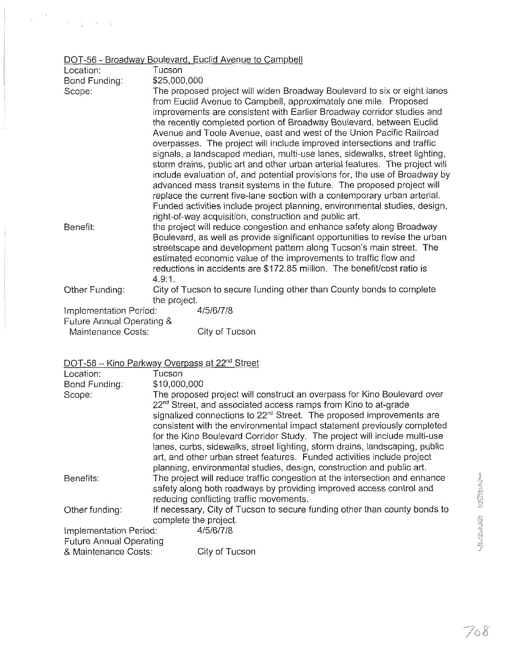# DOT-56 - Broadway Boulevard, Euclid Avenue to Campbell

 $\label{eq:1} \begin{split} \mathbf{w}^{(1)}_{\text{max}} &= \frac{1}{2} \mathbf{w}^{(1)}_{\text{max}} \\ & \times \mathbf{w}^{(1)}_{\text{max}} = \frac{1}{2} \mathbf{w}^{(1)}_{\text{max}} + \frac{1}{2} \mathbf{w}^{(1)}_{\text{max}} + \frac{1}{2} \mathbf{w}^{(1)}_{\text{max}} \\ & \times \mathbf{w}^{(1)}_{\text{max}} = \frac{1}{2} \mathbf{w}^{(1)}_{\text{max}} + \frac{1}{2} \mathbf{w}^{(1)}_{\text{max}} + \frac{1}{2}$ 

| Location:                 | Tucson                                                                                                                                                                                                                                                                                                                                                                                                                                                                                                                                                                                                                                                                                                                                                                                                                                                                                                                                                                                        |
|---------------------------|-----------------------------------------------------------------------------------------------------------------------------------------------------------------------------------------------------------------------------------------------------------------------------------------------------------------------------------------------------------------------------------------------------------------------------------------------------------------------------------------------------------------------------------------------------------------------------------------------------------------------------------------------------------------------------------------------------------------------------------------------------------------------------------------------------------------------------------------------------------------------------------------------------------------------------------------------------------------------------------------------|
| Bond Funding:             | \$25,000,000                                                                                                                                                                                                                                                                                                                                                                                                                                                                                                                                                                                                                                                                                                                                                                                                                                                                                                                                                                                  |
| Scope:                    | The proposed project will widen Broadway Boulevard to six or eight lanes<br>from Euclid Avenue to Campbell, approximately one mile. Proposed<br>improvements are consistent with Earlier Broadway corridor studies and<br>the recently completed portion of Broadway Boulevard, between Euclid<br>Avenue and Toole Avenue, east and west of the Union Pacific Railroad<br>overpasses. The project will include improved intersections and traffic<br>signals, a landscaped median, multi-use lanes, sidewalks, street lighting,<br>storm drains, public art and other urban arterial features. The project will<br>include evaluation of, and potential provisions for, the use of Broadway by<br>advanced mass transit systems in the future. The proposed project will<br>replace the current five-lane section with a contemporary urban arterial.<br>Funded activities include project planning, environmental studies, design,<br>right-of-way acquisition, construction and public art. |
| Benefit:                  | the project will reduce congestion and enhance safety along Broadway<br>Boulevard, as well as provide significant opportunities to revise the urban<br>streetscape and development pattern along Tucson's main street. The<br>estimated economic value of the improvements to traffic flow and<br>reductions in accidents are \$172.85 million. The benefit/cost ratio is<br>4.9:1.                                                                                                                                                                                                                                                                                                                                                                                                                                                                                                                                                                                                           |
| Other Funding:            | City of Tucson to secure funding other than County bonds to complete<br>the project.                                                                                                                                                                                                                                                                                                                                                                                                                                                                                                                                                                                                                                                                                                                                                                                                                                                                                                          |
| Implementation Period:    | 4/5/6/7/8                                                                                                                                                                                                                                                                                                                                                                                                                                                                                                                                                                                                                                                                                                                                                                                                                                                                                                                                                                                     |
| Future Annual Operating & |                                                                                                                                                                                                                                                                                                                                                                                                                                                                                                                                                                                                                                                                                                                                                                                                                                                                                                                                                                                               |
| Maintenance Costs:        | City of Tucson                                                                                                                                                                                                                                                                                                                                                                                                                                                                                                                                                                                                                                                                                                                                                                                                                                                                                                                                                                                |
|                           | DOT-58 - Kino Parkway Overpass at 22 <sup>nd</sup> Street                                                                                                                                                                                                                                                                                                                                                                                                                                                                                                                                                                                                                                                                                                                                                                                                                                                                                                                                     |
| Location:                 | Tucson                                                                                                                                                                                                                                                                                                                                                                                                                                                                                                                                                                                                                                                                                                                                                                                                                                                                                                                                                                                        |
| Bond Funding:             | \$10,000,000                                                                                                                                                                                                                                                                                                                                                                                                                                                                                                                                                                                                                                                                                                                                                                                                                                                                                                                                                                                  |
| $O = 0.00$                | The prepared project will construct an overpase for King Daulovard over                                                                                                                                                                                                                                                                                                                                                                                                                                                                                                                                                                                                                                                                                                                                                                                                                                                                                                                       |

| Scope:                  | The proposed project will construct an overpass for Kino Boulevard over          |
|-------------------------|----------------------------------------------------------------------------------|
|                         | 22 <sup>nd</sup> Street, and associated access ramps from Kino to at-grade       |
|                         | signalized connections to 22 <sup>nd</sup> Street. The proposed improvements are |
|                         | consistent with the environmental impact statement previously completed          |
|                         | for the Kino Boulevard Corridor Study. The project will include multi-use        |
|                         | lanes, curbs, sidewalks, street lighting, storm drains, landscaping, public      |
|                         | art, and other urban street features. Funded activities include project          |
|                         | planning, environmental studies, design, construction and public art.            |
| Benefits:               | The project will reduce traffic congestion at the intersection and enhance       |
|                         | safety along both roadways by providing improved access control and              |
|                         | reducing conflicting traffic movements.                                          |
| Other funding:          | If necessary, City of Tucson to secure funding other than county bonds to        |
|                         | complete the project.                                                            |
| Implementation Period:  | 4/5/6/7/8                                                                        |
| Future Annual Operating |                                                                                  |

& Maintenance Costs: City of Tucson